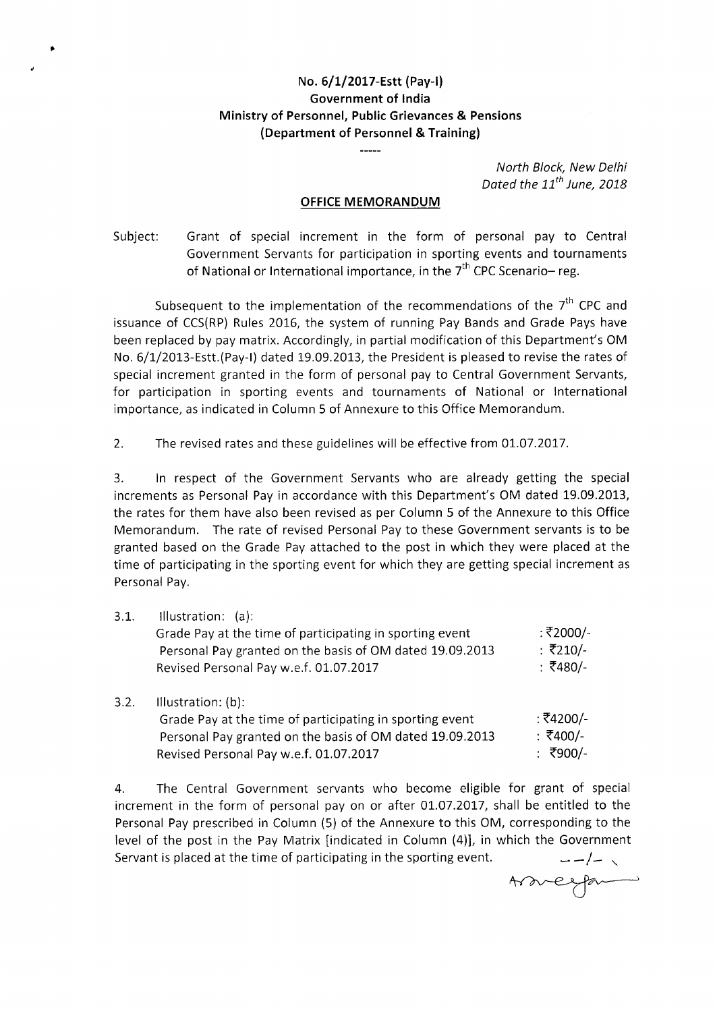## **No. 6/1/2017-Estt (Pay-I) Government of India Ministry of Personnel, Public Grievances & Pensions (Department of Personnel** & **Training)**

 $\bullet$ 

*North Block, New Delhi Dated the 11th June, 2018* 

## **OFFICE MEMORANDUM**

Subject: Grant of special increment in the form of personal pay to Central Government Servants for participation in sporting events and tournaments of National or International importance, in the  $7<sup>th</sup>$  CPC Scenario-reg.

Subsequent to the implementation of the recommendations of the 7<sup>th</sup> CPC and issuance of CCS(RP) Rules 2016, the system of running Pay Bands and Grade Pays have been replaced by pay matrix. Accordingly, in partial modification of this Department's OM No. 6/1/2013-Estt.(Pay-I) dated 19.09.2013, the President is pleased to revise the rates of special increment granted in the form of personal pay to Central Government Servants, for participation in sporting events and tournaments of National or International importance, as indicated in Column 5 of Annexure to this Office Memorandum.

2. The revised rates and these guidelines will be effective from 01.07.2017.

3. In respect of the Government Servants who are already getting the special increments as Personal Pay in accordance with this Department's OM dated 19.09.2013, the rates for them have also been revised as per Column 5 of the Annexure to this Office Memorandum. The rate of revised Personal Pay to these Government servants is to be granted based on the Grade Pay attached to the post in which they were placed at the time of participating in the sporting event for which they are getting special increment as Personal Pay.

| 3.1. | Illustration: $(a)$ :<br>Grade Pay at the time of participating in sporting event<br>Personal Pay granted on the basis of OM dated 19.09.2013<br>Revised Personal Pay w.e.f. 01.07.2017 | : ₹2000/-<br>: ₹210/-<br>: ₹480/- |
|------|-----------------------------------------------------------------------------------------------------------------------------------------------------------------------------------------|-----------------------------------|
| 3.2. | Illustration: (b):<br>Grade Pay at the time of participating in sporting event<br>Personal Pay granted on the basis of OM dated 19.09.2013                                              | : ₹4200/-<br>: ₹400/-             |

4. The Central Government servants who become eligible for grant of special increment in the form of personal pay on or after 01.07.2017, shall be entitled to the Personal Pay prescribed in Column (5) of the Annexure to this OM, corresponding to the level of the post in the Pay Matrix [indicated in Column (4)], in which the Government Servant is placed at the time of participating in the sporting event. *.\_./\_* \

Revised Personal Pay w.e.f. 01.07.2017 : ₹900/-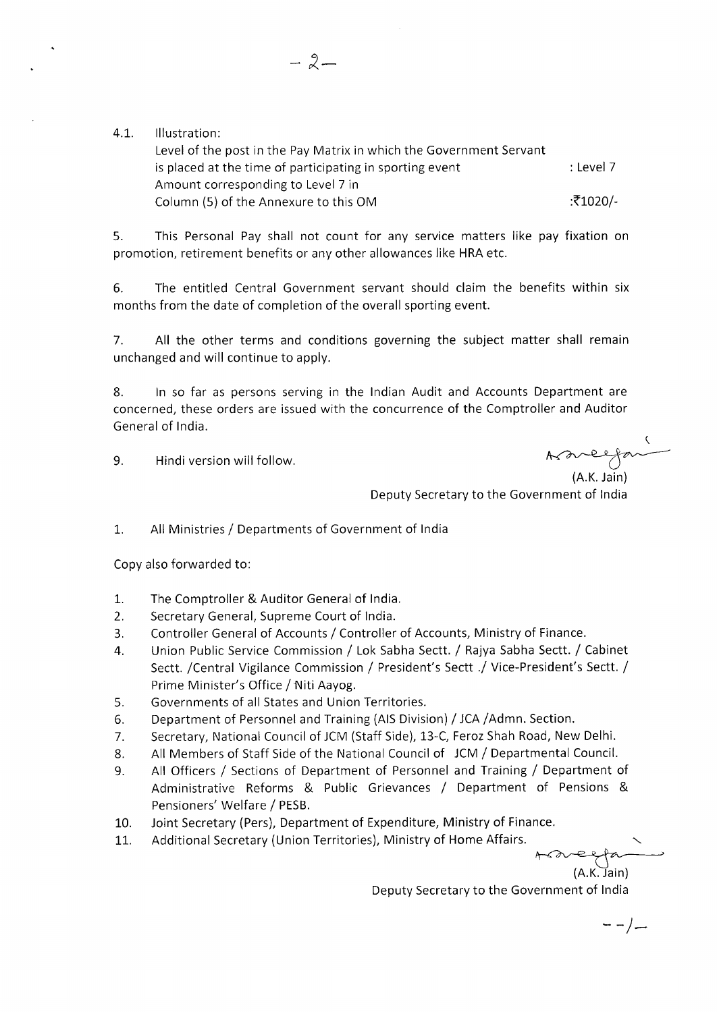4.1. Illustration:

Level of the post in the Pay Matrix in which the Government Servant is placed at the time of participating in sporting event  $\qquad \qquad$  : Level 7 Amount corresponding to Level 7 in Column (5) of the Annexure to this OM : $\overline{5}1020/2$ 

5. This Personal Pay shall not count for any service matters like pay fixation on promotion, retirement benefits or any other allowances like HRA etc.

6. The entitled Central Government servant should claim the benefits within six months from the date of completion of the overall sporting event.

7. All the other terms and conditions governing the subject matter shall remain unchanged and will continue to apply.

8. In so far as persons serving in the Indian Audit and Accounts Department are concerned, these orders are issued with the concurrence of the Comptroller and Auditor General of India.

9. Hindi version will follow.

 $A$  are for

Deputy Secretary to the Government of India

1. All Ministries / Departments of Government of India

Copy also forwarded to:

- 1. The Comptroller & Auditor General of India.
- 2. Secretary General, Supreme Court of India.
- 3. Controller General of Accounts / Controller of Accounts, Ministry of Finance.
- 4. Union Public Service Commission / Lok Sabha Sectt. / Rajya Sabha Sectt. / Cabinet Sectt. /Central Vigilance Commission / President's Sectt .1 Vice-President's Sectt. / Prime Minister's Office / Niti Aayog.
- 5. Governments of all States and Union Territories.
- 6. Department of Personnel and Training (AIS Division) / JCA /Admn. Section.
- 7. Secretary, National Council of JCM (Staff Side), 13-C, Feroz Shah Road, New Delhi.
- 8. All Members of Staff Side of the National Council of JCM / Departmental Council.
- 9. All Officers / Sections of Department of Personnel and Training / Department of Administrative Reforms & Public Grievances / Department of Pensions & Pensioners' Welfare / PESB.
- 10. Joint Secretary (Pers), Department of Expenditure, Ministry of Finance.
- 11. Additional Secretary (Union Territories), Ministry of Home Affairs.

 $(A.K.)$   $\overline{J}$ ain) Deputy Secretary to the Government of India

--/-